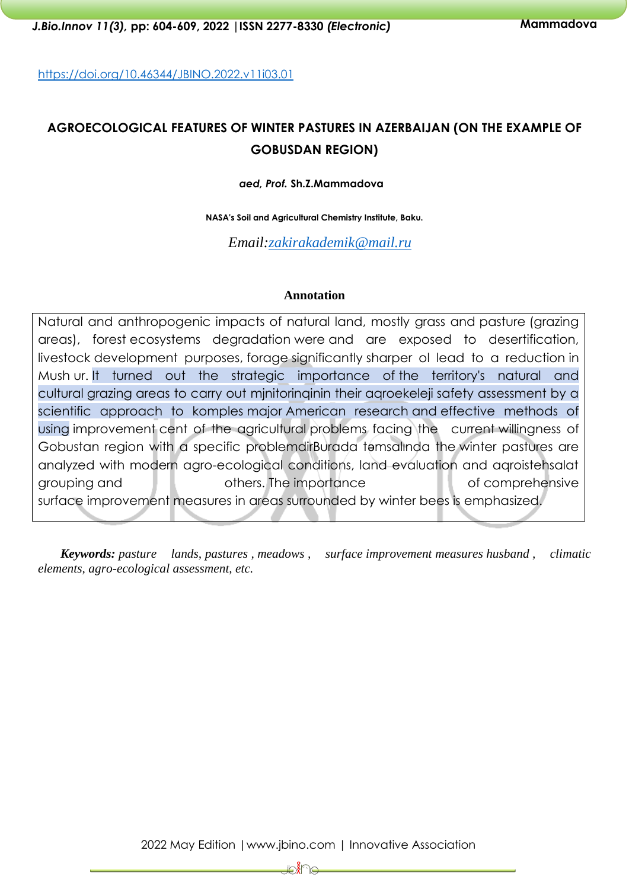<https://doi.org/10.46344/JBINO.2022.v11i03.01>

# **AGROECOLOGICAL FEATURES OF WINTER PASTURES IN AZERBAIJAN (ON THE EXAMPLE OF GOBUSDAN REGION)**

*aed, Prof.* **Sh.Z.Mammadova** 

**NASA's Soil and Agricultural Chemistry Institute, Baku.**

 *Email[:zakirakademik@mail.ru](mailto:zakirakademik@mail.ru)*

#### **Annotation**

Natural and anthropogenic impacts of natural land, mostly grass and pasture (grazing areas), forest ecosystems degradation were and are exposed to desertification, livestock development purposes, forage significantly sharper ol lead to a reduction in Mush ur. It turned out the strategic importance of the territory's natural and cultural grazing areas to carry out mjnitorinqinin their aqroekeleji safety assessment by a scientific approach to komples major American research and effective methods of using improvement cent of the agricultural problems facing the current willingness of Gobustan region with a specific problemdirBurada təmsalında the winter pastures are analyzed with modern agro-ecological conditions, land evaluation and aqroistehsalat grouping and **others.** The importance and of comprehensive surface improvement measures in areas surrounded by winter bees is emphasized.

*Keywords: pasture lands, pastures , meadows , surface improvement measures husband , climatic elements, agro-ecological assessment, etc.*

2022 May Edition |www.jbino.com | Innovative Association

₽₩₽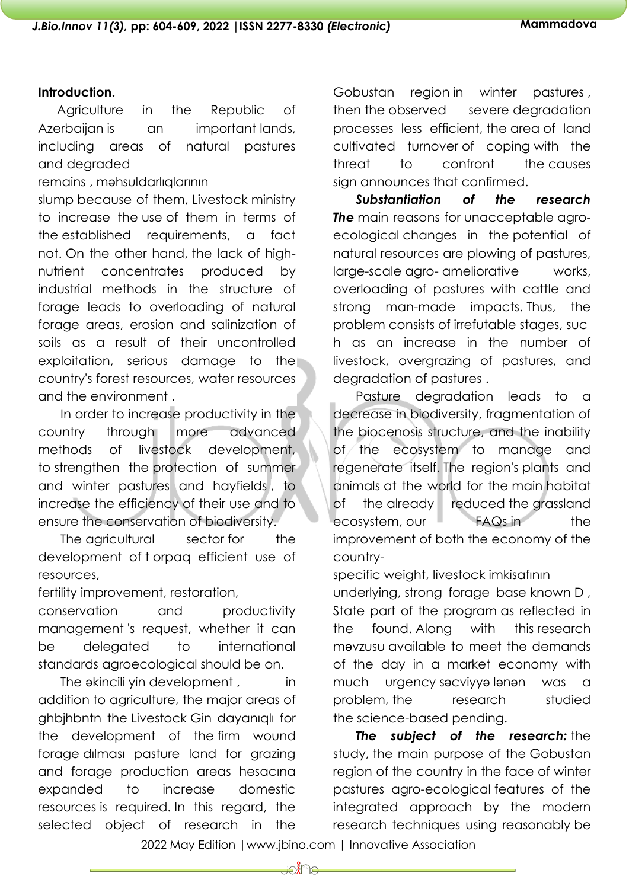#### **Introduction.**

Agriculture in the Republic of Azerbaijan is an important lands, including areas of natural pastures and degraded

remains , mahsuldarlıqlarının

slump because of them, Livestock ministry to increase the use of them in terms of the established requirements, a fact not. On the other hand, the lack of highnutrient concentrates produced by industrial methods in the structure of forage leads to overloading of natural forage areas, erosion and salinization of soils as a result of their uncontrolled exploitation, serious damage to the country's forest resources, water resources and the environment .

In order to increase productivity in the country through more advanced methods of livestock development, to strengthen the protection of summer and winter pastures and hayfields , to increase the efficiency of their use and to ensure the conservation of biodiversity.

The agricultural sector for the development of t orpaq efficient use of resources,

fertility improvement, restoration,

conservation and productivity management 's request, whether it can be delegated to international standards agroecological should be on.

The akincili yin development, in addition to agriculture, the major areas of ghbjhbntn the Livestock Gin dayanıqlı for the development of the firm wound forage dılması pasture land for grazing and forage production areas hesacına expanded to increase domestic resources is required. In this regard, the selected object of research in the

Gobustan region in winter pastures , then the observed severe degradation processes less efficient, the area of land cultivated turnover of coping with the threat to confront the causes sign announces that confirmed.

*Substantiation of the research The* main reasons for unacceptable agroecological changes in the potential of natural resources are plowing of pastures, large-scale agro- ameliorative works, overloading of pastures with cattle and strong man-made impacts. Thus, the problem consists of irrefutable stages, suc h as an increase in the number of livestock, overgrazing of pastures, and degradation of pastures .

Pasture degradation leads to a decrease in biodiversity, fragmentation of the biocenosis structure, and the inability of the ecosystem to manage and regenerate itself. The region's plants and animals at the world for the main habitat of the already reduced the grassland ecosystem, our FAQs in the improvement of both the economy of the country-

specific weight, livestock imkisafının

underlying, strong forage base known D , State part of the program as reflected in the found. Along with this research məvzusu available to meet the demands of the day in a market economy with much urgency səcviyyə lənən was a problem, the research studied the science-based pending.

*The subject of the research:* the study, the main purpose of the Gobustan region of the country in the face of winter pastures agro-ecological features of the integrated approach by the modern research techniques using reasonably be

2022 May Edition |www.jbino.com | Innovative Association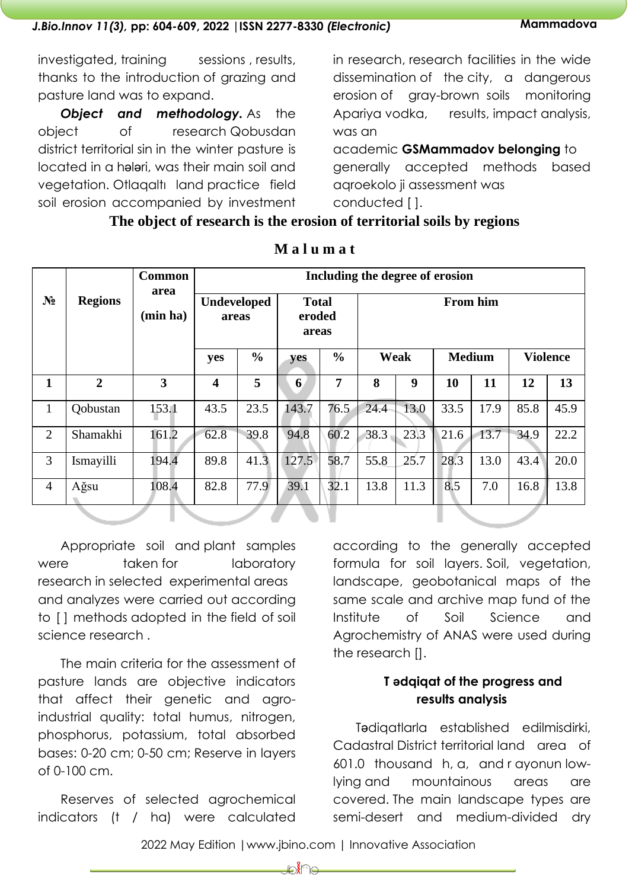investigated, training sessions, results, thanks to the introduction of grazing and pasture land was to expand.

**Object and methodology.** As the object of research Qobusdan district territorial sin in the winter pasture is located in a hələri, was their main soil and vegetation. Otlaqaltı land practice field soil erosion accompanied by investment in research, research facilities in the wide dissemination of the city, a dangerous erosion of gray-brown soils monitoring Apariya vodka, results, impact analysis, was an

academic **GSMammadov belonging** to generally accepted methods based aqroekolo ji assessment was conducted [ ].

## **The object of research is the erosion of territorial soils by regions**

|                |                  | <b>Common</b>           | Including the degree of erosion |                    |                                 |               |                 |      |               |      |      |                 |
|----------------|------------------|-------------------------|---------------------------------|--------------------|---------------------------------|---------------|-----------------|------|---------------|------|------|-----------------|
| $N_2$          | <b>Regions</b>   | area<br>(min ha)        | areas                           | <b>Undeveloped</b> | <b>Total</b><br>eroded<br>areas |               | <b>From him</b> |      |               |      |      |                 |
|                |                  |                         | yes                             | $\frac{0}{0}$      | yes                             | $\frac{6}{6}$ |                 | Weak | <b>Medium</b> |      |      | <b>Violence</b> |
| $\mathbf{1}$   | $\overline{2}$   | $\overline{\mathbf{3}}$ | $\overline{\mathbf{4}}$         | 5                  | 6                               | 7             | 8               | 9    | 10            | 11   | 12   | 13              |
| $\mathbf{1}$   | <b>Q</b> obustan | 153.1                   | 43.5                            | 23.5               | 143.7                           | 76.5          | 24.4            | 13.0 | 33.5          | 17.9 | 85.8 | 45.9            |
| $\overline{2}$ | Shamakhi         | 161.2                   | 62.8                            | 39.8               | 94.8                            | 60.2          | 38.3            | 23.3 | 21.6          | 13.7 | 34.9 | 22.2            |
| 3              | Ismayilli        | 194.4                   | 89.8                            | $41.\overline{3}$  | 127.5                           | 58.7          | 55.8            | 25.7 | 28.3          | 13.0 | 43.4 | 20.0            |
| $\overline{4}$ | Ağsu             | 108.4                   | 82.8                            | 77.9               | 39.1                            | 32.1          | 13.8            | 11.3 | 8.5           | 7.0  | 16.8 | 13.8            |
|                |                  |                         |                                 |                    |                                 |               |                 |      |               |      |      |                 |

### **M a l u m a t**

Appropriate soil and plant samples were taken for laboratory research in selected experimental areas and analyzes were carried out according to [] methods adopted in the field of soil science research .

The main criteria for the assessment of pasture lands are objective indicators that affect their genetic and agroindustrial quality: total humus, nitrogen, phosphorus, potassium, total absorbed bases: 0-20 cm; 0-50 cm; Reserve in layers of 0-100 cm.

Reserves of selected agrochemical indicators (t / ha) were calculated

according to the generally accepted formula for soil layers. Soil, vegetation, landscape, geobotanical maps of the same scale and archive map fund of the Institute of Soil Science and Agrochemistry of ANAS were used during the research [].

# **T ədqiqat of the progress and results analysis**

Tədiqatlarla established edilmisdirki, Cadastral District territorial land area of 601.0 thousand h, a, and r ayonun lowlying and mountainous areas are covered. The main landscape types are semi-desert and medium-divided dry

2022 May Edition |www.jbino.com | Innovative Association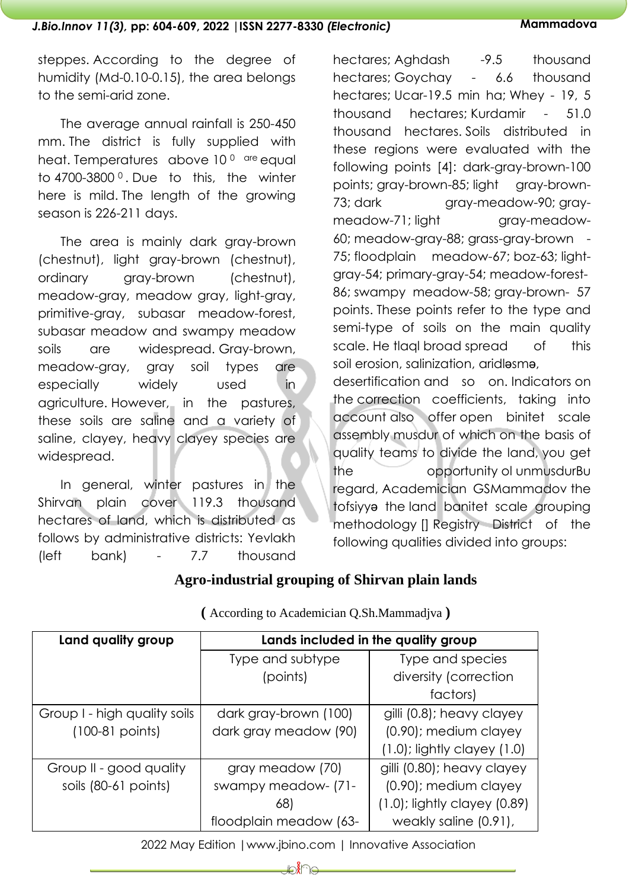steppes. According to the degree of humidity (Md-0.10-0.15), the area belongs to the semi-arid zone.

The average annual rainfall is 250-450 mm. The district is fully supplied with heat. Temperatures above 10<sup>0</sup> are equal to 4700-3800 <sup>0</sup> . Due to this, the winter here is mild. The length of the growing season is 226-211 days.

The area is mainly dark gray-brown (chestnut), light gray-brown (chestnut), ordinary gray-brown (chestnut), meadow-gray, meadow gray, light-gray, primitive-gray, subasar meadow-forest, subasar meadow and swampy meadow soils are widespread. Gray-brown, meadow-gray, gray soil types are especially widely used in agriculture. However, in the pastures, these soils are saline and a variety of saline, clayey, heavy clayey species are widespread.

In general, winter pastures in the Shirvan plain cover 119.3 thousand hectares of land, which is distributed as follows by administrative districts: Yevlakh (left bank) - 7.7 thousand

hectares; Aghdash -9.5 thousand hectares; Goychay - 6.6 thousand hectares; Ucar-19.5 min ha; Whey - 19, 5 thousand hectares; Kurdamir - 51.0 thousand hectares. Soils distributed in these regions were evaluated with the following points [4]: dark-gray-brown-100 points; gray-brown-85; light gray-brown-73; dark gray-meadow-90; graymeadow-71; light gray-meadow-60; meadow-gray-88; grass-gray-brown - 75; floodplain meadow-67; boz-63; lightgray-54; primary-gray-54; meadow-forest-86; swampy meadow-58; gray-brown- 57 points. These points refer to the type and semi-type of soils on the main quality scale. He tlaal broad spread of this soil erosion, salinization, aridləsmə, desertification and so on. Indicators on the correction coefficients, taking into account also offer open binitet scale assembly musdur of which on the basis of quality teams to divide the land, you get

the opportunity ol unmusdurBu regard, Academician GSMammadov the tofsiyyə the land banitet scale grouping methodology [] Registry District of the following qualities divided into groups:

# **Agro-industrial grouping of Shirvan plain lands**

| Land quality group           | Lands included in the quality group |                                   |  |  |  |  |
|------------------------------|-------------------------------------|-----------------------------------|--|--|--|--|
|                              | Type and subtype                    | Type and species                  |  |  |  |  |
|                              | (points)                            | diversity (correction             |  |  |  |  |
|                              |                                     | factors)                          |  |  |  |  |
| Group I - high quality soils | dark gray-brown (100)               | gilli (0.8); heavy clayey         |  |  |  |  |
| $(100-81$ points)            | dark gray meadow (90)               | (0.90); medium clayey             |  |  |  |  |
|                              |                                     | $(1.0)$ ; lightly clayey $(1.0)$  |  |  |  |  |
| Group II - good quality      | gray meadow (70)                    | gilli (0.80); heavy clayey        |  |  |  |  |
| soils (80-61 points)         | swampy meadow- (71-                 | (0.90); medium clayey             |  |  |  |  |
|                              | 68)                                 | $(1.0)$ ; lightly clayey $(0.89)$ |  |  |  |  |
|                              | floodplain meadow (63-              | weakly saline (0.91),             |  |  |  |  |

**(** According to Academician Q.Sh.Mammadjva **)**

2022 May Edition |www.jbino.com | Innovative Association

₽∦⊌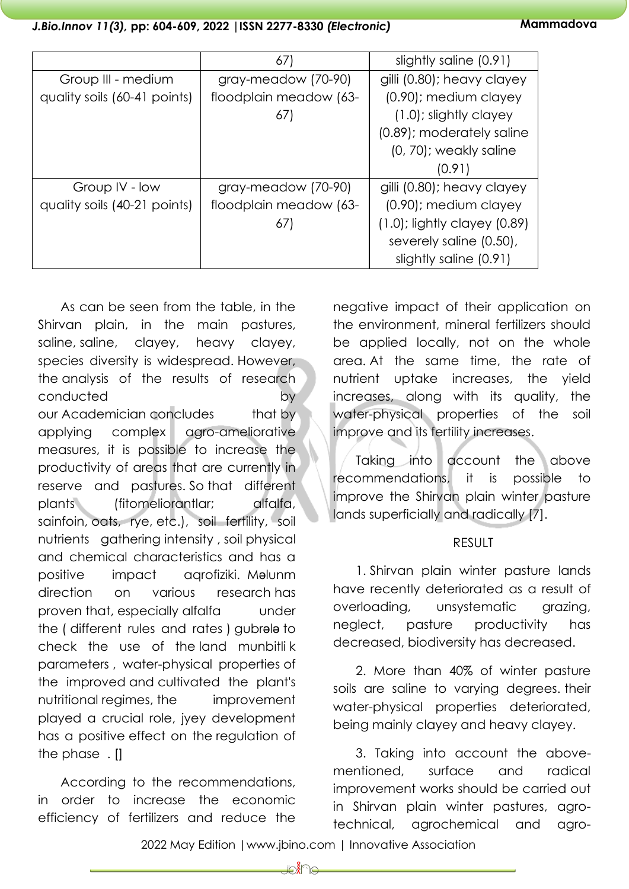|                              | 67)                    | slightly saline (0.91)            |  |  |
|------------------------------|------------------------|-----------------------------------|--|--|
| Group III - medium           | gray-meadow (70-90)    | gilli (0.80); heavy clayey        |  |  |
| quality soils (60-41 points) | floodplain meadow (63- | (0.90); medium clayey             |  |  |
|                              | 67)                    | (1.0); slightly clayey            |  |  |
|                              |                        | (0.89); moderately saline         |  |  |
|                              |                        | (0, 70); weakly saline            |  |  |
|                              |                        | (0.91)                            |  |  |
| Group IV - low               | gray-meadow (70-90)    | gilli (0.80); heavy clayey        |  |  |
| quality soils (40-21 points) | floodplain meadow (63- | (0.90); medium clayey             |  |  |
|                              | 67)                    | $(1.0)$ ; lightly clayey $(0.89)$ |  |  |
|                              |                        | severely saline (0.50),           |  |  |
|                              |                        | slightly saline (0.91)            |  |  |

As can be seen from the table, in the Shirvan plain, in the main pastures, saline, saline, clayey, heavy clayey, species diversity is widespread. However, the analysis of the results of research conducted by by our Academician concludes that by applying complex agro-ameliorative measures, it is possible to increase the productivity of areas that are currently in reserve and pastures. So that different plants (fitomeliorantlar; alfalfa, sainfoin, oats, rye, etc.), soil fertility, soil nutrients gathering intensity , soil physical and chemical characteristics and has a positive impact aqrofiziki. Məlunm direction on various research has proven that, especially alfalfa under the ( different rules and rates ) gubrələ to check the use of the land munbitli k parameters , water-physical properties of the improved and cultivated the plant's nutritional regimes, the improvement played a crucial role, jyey development has a positive effect on the regulation of the phase . []

According to the recommendations, in order to increase the economic efficiency of fertilizers and reduce the

negative impact of their application on the environment, mineral fertilizers should be applied locally, not on the whole area. At the same time, the rate of nutrient uptake increases, the yield increases, along with its quality, the water-physical properties of the soil improve and its fertility increases.

Taking into account the above recommendations, it is possible to improve the Shirvan plain winter pasture lands superficially and radically [7].

#### RESULT

1. Shirvan plain winter pasture lands have recently deteriorated as a result of overloading, unsystematic grazing, neglect, pasture productivity has decreased, biodiversity has decreased.

2. More than 40% of winter pasture soils are saline to varying degrees. their water-physical properties deteriorated, being mainly clayey and heavy clayey.

3. Taking into account the abovementioned, surface and radical improvement works should be carried out in Shirvan plain winter pastures, agrotechnical, agrochemical and agro-

2022 May Edition |www.jbino.com | Innovative Association

⊉∕∦